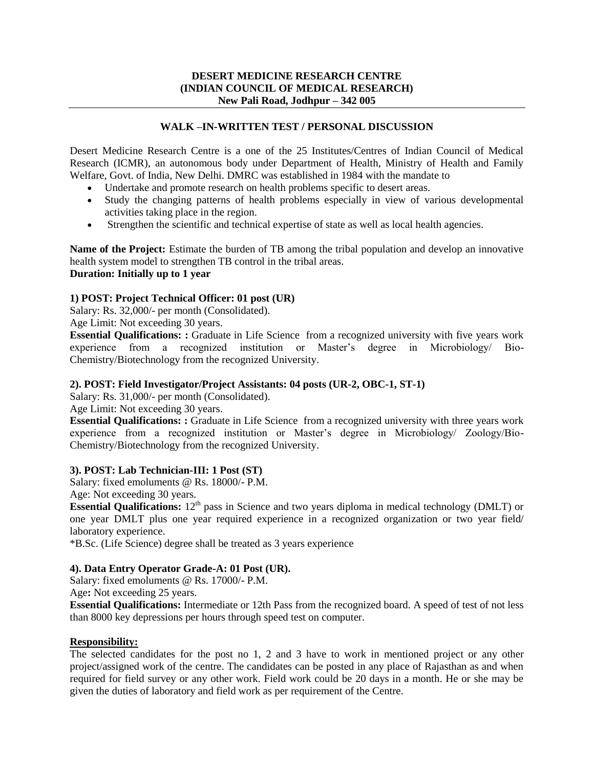## **WALK –IN-WRITTEN TEST / PERSONAL DISCUSSION**

Desert Medicine Research Centre is a one of the 25 Institutes/Centres of Indian Council of Medical Research (ICMR), an autonomous body under Department of Health, Ministry of Health and Family Welfare, Govt. of India, New Delhi. DMRC was established in 1984 with the mandate to

- Undertake and promote research on health problems specific to desert areas.
- Study the changing patterns of health problems especially in view of various developmental activities taking place in the region.
- Strengthen the scientific and technical expertise of state as well as local health agencies.

**Name of the Project:** Estimate the burden of TB among the tribal population and develop an innovative health system model to strengthen TB control in the tribal areas. **Duration: Initially up to 1 year**

# **1) POST: Project Technical Officer: 01 post (UR)**

Salary: Rs. 32,000/- per month (Consolidated).

Age Limit: Not exceeding 30 years.

**Essential Qualifications: :** Graduate in Life Science from a recognized university with five years work experience from a recognized institution or Master's degree in Microbiology/ Bio-Chemistry/Biotechnology from the recognized University.

### **2). POST: Field Investigator/Project Assistants: 04 posts (UR-2, OBC-1, ST-1)**

Salary: Rs. 31,000/- per month (Consolidated).

Age Limit: Not exceeding 30 years.

**Essential Qualifications: :** Graduate in Life Science from a recognized university with three years work experience from a recognized institution or Master's degree in Microbiology/ Zoology/Bio-Chemistry/Biotechnology from the recognized University.

### **3). POST: Lab Technician-III: 1 Post (ST)**

Salary: fixed emoluments @ Rs. 18000/- P.M.

Age: Not exceeding 30 years.

**Essential Qualifications:** 12<sup>th</sup> pass in Science and two years diploma in medical technology (DMLT) or one year DMLT plus one year required experience in a recognized organization or two year field/ laboratory experience.

\*B.Sc. (Life Science) degree shall be treated as 3 years experience

### **4). Data Entry Operator Grade-A: 01 Post (UR).**

Salary: fixed emoluments @ Rs. 17000/- P.M.

Age**:** Not exceeding 25 years.

**Essential Qualifications:** Intermediate or 12th Pass from the recognized board. A speed of test of not less than 8000 key depressions per hours through speed test on computer.

#### **Responsibility:**

The selected candidates for the post no 1, 2 and 3 have to work in mentioned project or any other project/assigned work of the centre. The candidates can be posted in any place of Rajasthan as and when required for field survey or any other work. Field work could be 20 days in a month. He or she may be given the duties of laboratory and field work as per requirement of the Centre.